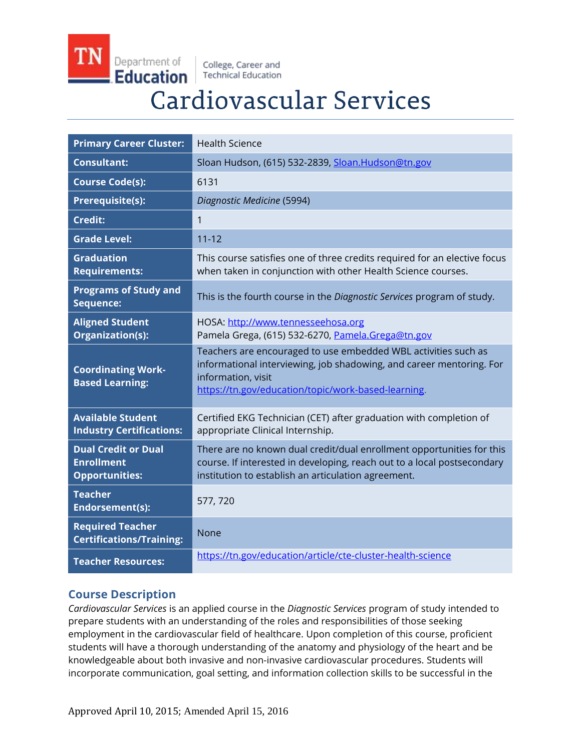Department of Education

College, Career and **Technical Education** 

# **Cardiovascular Services**

| <b>Primary Career Cluster:</b>                                           | <b>Health Science</b>                                                                                                                                                                                               |
|--------------------------------------------------------------------------|---------------------------------------------------------------------------------------------------------------------------------------------------------------------------------------------------------------------|
| <b>Consultant:</b>                                                       | Sloan Hudson, (615) 532-2839, Sloan.Hudson@tn.gov                                                                                                                                                                   |
| <b>Course Code(s):</b>                                                   | 6131                                                                                                                                                                                                                |
| <b>Prerequisite(s):</b>                                                  | Diagnostic Medicine (5994)                                                                                                                                                                                          |
| <b>Credit:</b>                                                           | $\mathbf{1}$                                                                                                                                                                                                        |
| <b>Grade Level:</b>                                                      | $11 - 12$                                                                                                                                                                                                           |
| <b>Graduation</b><br><b>Requirements:</b>                                | This course satisfies one of three credits required for an elective focus<br>when taken in conjunction with other Health Science courses.                                                                           |
| <b>Programs of Study and</b><br>Sequence:                                | This is the fourth course in the Diagnostic Services program of study.                                                                                                                                              |
| <b>Aligned Student</b><br>Organization(s):                               | HOSA: http://www.tennesseehosa.org<br>Pamela Grega, (615) 532-6270, Pamela.Grega@tn.gov                                                                                                                             |
| <b>Coordinating Work-</b><br><b>Based Learning:</b>                      | Teachers are encouraged to use embedded WBL activities such as<br>informational interviewing, job shadowing, and career mentoring. For<br>information, visit<br>https://tn.gov/education/topic/work-based-learning. |
| <b>Available Student</b><br><b>Industry Certifications:</b>              | Certified EKG Technician (CET) after graduation with completion of<br>appropriate Clinical Internship.                                                                                                              |
| <b>Dual Credit or Dual</b><br><b>Enrollment</b><br><b>Opportunities:</b> | There are no known dual credit/dual enrollment opportunities for this<br>course. If interested in developing, reach out to a local postsecondary<br>institution to establish an articulation agreement.             |
| <b>Teacher</b><br>Endorsement(s):                                        | 577, 720                                                                                                                                                                                                            |
| <b>Required Teacher</b><br><b>Certifications/Training:</b>               | None                                                                                                                                                                                                                |
| <b>Teacher Resources:</b>                                                | https://tn.gov/education/article/cte-cluster-health-science                                                                                                                                                         |

# **Course Description**

*Cardiovascular Services* is an applied course in the *Diagnostic Services* program of study intended to prepare students with an understanding of the roles and responsibilities of those seeking employment in the cardiovascular field of healthcare. Upon completion of this course, proficient students will have a thorough understanding of the anatomy and physiology of the heart and be knowledgeable about both invasive and non-invasive cardiovascular procedures. Students will incorporate communication, goal setting, and information collection skills to be successful in the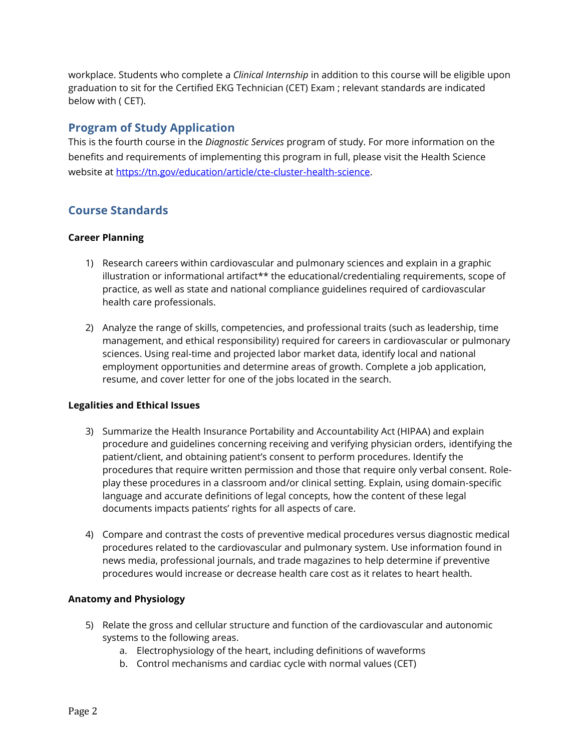workplace. Students who complete a *Clinical Internship* in addition to this course will be eligible upon graduation to sit for the Certified EKG Technician (CET) Exam ; relevant standards are indicated below with ( CET).

## **Program of Study Application**

This is the fourth course in the *Diagnostic Services* program of study. For more information on the benefits and requirements of implementing this program in full, please visit the Health Science website at [https://tn.gov/education/article/cte-cluster-health-science.](https://tn.gov/education/article/cte-cluster-health-science)

# **Course Standards**

#### **Career Planning**

- 1) Research careers within cardiovascular and pulmonary sciences and explain in a graphic illustration or informational artifact\*\* the educational/credentialing requirements, scope of practice, as well as state and national compliance guidelines required of cardiovascular health care professionals.
- 2) Analyze the range of skills, competencies, and professional traits (such as leadership, time management, and ethical responsibility) required for careers in cardiovascular or pulmonary sciences. Using real-time and projected labor market data, identify local and national employment opportunities and determine areas of growth. Complete a job application, resume, and cover letter for one of the jobs located in the search.

#### **Legalities and Ethical Issues**

- 3) Summarize the Health Insurance Portability and Accountability Act (HIPAA) and explain procedure and guidelines concerning receiving and verifying physician orders, identifying the patient/client, and obtaining patient's consent to perform procedures. Identify the procedures that require written permission and those that require only verbal consent. Roleplay these procedures in a classroom and/or clinical setting. Explain, using domain-specific language and accurate definitions of legal concepts, how the content of these legal documents impacts patients' rights for all aspects of care.
- 4) Compare and contrast the costs of preventive medical procedures versus diagnostic medical procedures related to the cardiovascular and pulmonary system. Use information found in news media, professional journals, and trade magazines to help determine if preventive procedures would increase or decrease health care cost as it relates to heart health.

#### **Anatomy and Physiology**

- 5) Relate the gross and cellular structure and function of the cardiovascular and autonomic systems to the following areas.
	- a. Electrophysiology of the heart, including definitions of waveforms
	- b. Control mechanisms and cardiac cycle with normal values (CET)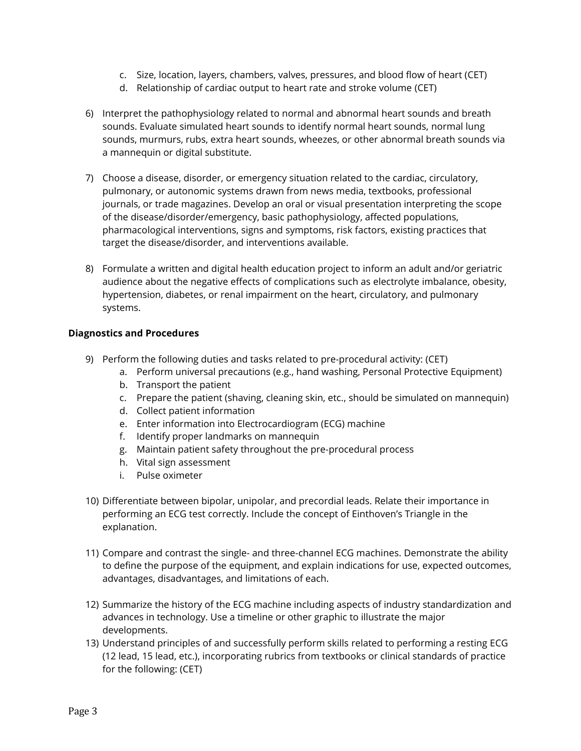- c. Size, location, layers, chambers, valves, pressures, and blood flow of heart (CET)
- d. Relationship of cardiac output to heart rate and stroke volume (CET)
- 6) Interpret the pathophysiology related to normal and abnormal heart sounds and breath sounds. Evaluate simulated heart sounds to identify normal heart sounds, normal lung sounds, murmurs, rubs, extra heart sounds, wheezes, or other abnormal breath sounds via a mannequin or digital substitute.
- 7) Choose a disease, disorder, or emergency situation related to the cardiac, circulatory, pulmonary, or autonomic systems drawn from news media, textbooks, professional journals, or trade magazines. Develop an oral or visual presentation interpreting the scope of the disease/disorder/emergency, basic pathophysiology, affected populations, pharmacological interventions, signs and symptoms, risk factors, existing practices that target the disease/disorder, and interventions available.
- 8) Formulate a written and digital health education project to inform an adult and/or geriatric audience about the negative effects of complications such as electrolyte imbalance, obesity, hypertension, diabetes, or renal impairment on the heart, circulatory, and pulmonary systems.

#### **Diagnostics and Procedures**

- 9) Perform the following duties and tasks related to pre-procedural activity: (CET)
	- a. Perform universal precautions (e.g., hand washing, Personal Protective Equipment)
	- b. Transport the patient
	- c. Prepare the patient (shaving, cleaning skin, etc., should be simulated on mannequin)
	- d. Collect patient information
	- e. Enter information into Electrocardiogram (ECG) machine
	- f. Identify proper landmarks on mannequin
	- g. Maintain patient safety throughout the pre-procedural process
	- h. Vital sign assessment
	- i. Pulse oximeter
- 10) Differentiate between bipolar, unipolar, and precordial leads. Relate their importance in performing an ECG test correctly. Include the concept of Einthoven's Triangle in the explanation.
- 11) Compare and contrast the single- and three-channel ECG machines. Demonstrate the ability to define the purpose of the equipment, and explain indications for use, expected outcomes, advantages, disadvantages, and limitations of each.
- 12) Summarize the history of the ECG machine including aspects of industry standardization and advances in technology. Use a timeline or other graphic to illustrate the major developments.
- 13) Understand principles of and successfully perform skills related to performing a resting ECG (12 lead, 15 lead, etc.), incorporating rubrics from textbooks or clinical standards of practice for the following: (CET)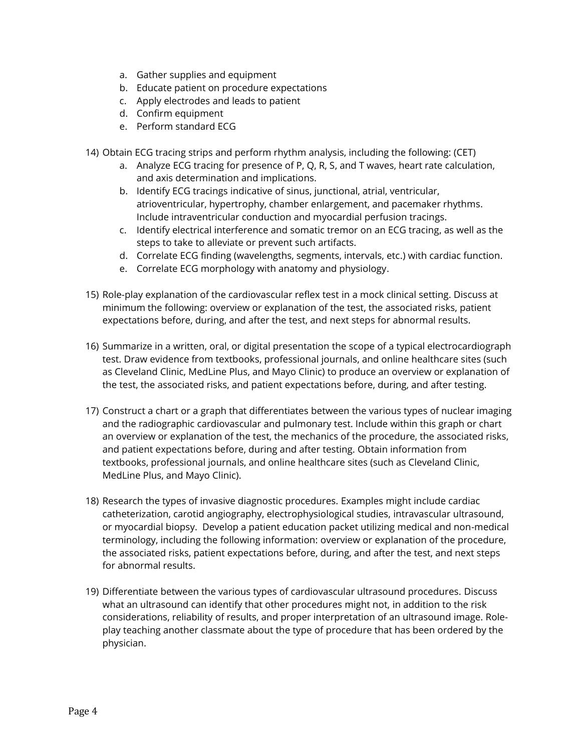- a. Gather supplies and equipment
- b. Educate patient on procedure expectations
- c. Apply electrodes and leads to patient
- d. Confirm equipment
- e. Perform standard ECG

14) Obtain ECG tracing strips and perform rhythm analysis, including the following: (CET)

- a. Analyze ECG tracing for presence of P, Q, R, S, and T waves, heart rate calculation, and axis determination and implications.
- b. Identify ECG tracings indicative of sinus, junctional, atrial, ventricular, atrioventricular, hypertrophy, chamber enlargement, and pacemaker rhythms. Include intraventricular conduction and myocardial perfusion tracings.
- c. Identify electrical interference and somatic tremor on an ECG tracing, as well as the steps to take to alleviate or prevent such artifacts.
- d. Correlate ECG finding (wavelengths, segments, intervals, etc.) with cardiac function.
- e. Correlate ECG morphology with anatomy and physiology.
- 15) Role-play explanation of the cardiovascular reflex test in a mock clinical setting. Discuss at minimum the following: overview or explanation of the test, the associated risks, patient expectations before, during, and after the test, and next steps for abnormal results.
- 16) Summarize in a written, oral, or digital presentation the scope of a typical electrocardiograph test. Draw evidence from textbooks, professional journals, and online healthcare sites (such as Cleveland Clinic, MedLine Plus, and Mayo Clinic) to produce an overview or explanation of the test, the associated risks, and patient expectations before, during, and after testing.
- 17) Construct a chart or a graph that differentiates between the various types of nuclear imaging and the radiographic cardiovascular and pulmonary test. Include within this graph or chart an overview or explanation of the test, the mechanics of the procedure, the associated risks, and patient expectations before, during and after testing. Obtain information from textbooks, professional journals, and online healthcare sites (such as Cleveland Clinic, MedLine Plus, and Mayo Clinic).
- 18) Research the types of invasive diagnostic procedures. Examples might include cardiac catheterization, carotid angiography, electrophysiological studies, intravascular ultrasound, or myocardial biopsy. Develop a patient education packet utilizing medical and non-medical terminology, including the following information: overview or explanation of the procedure, the associated risks, patient expectations before, during, and after the test, and next steps for abnormal results.
- 19) Differentiate between the various types of cardiovascular ultrasound procedures. Discuss what an ultrasound can identify that other procedures might not, in addition to the risk considerations, reliability of results, and proper interpretation of an ultrasound image. Roleplay teaching another classmate about the type of procedure that has been ordered by the physician.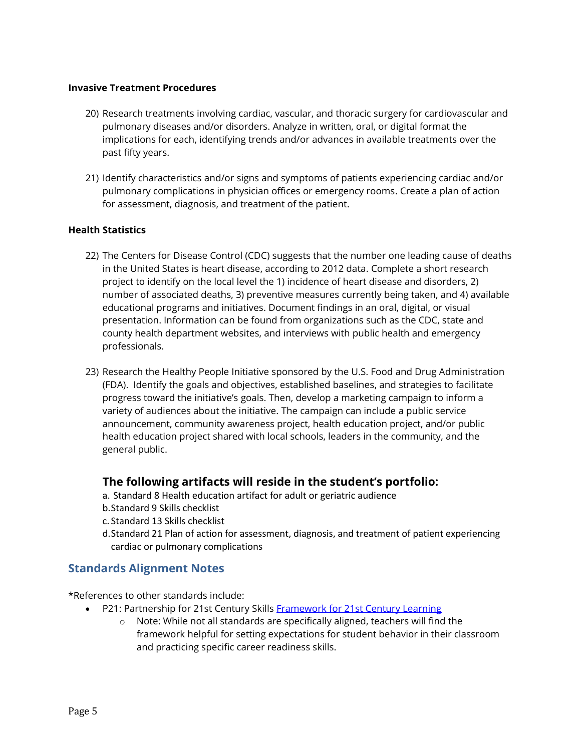#### **Invasive Treatment Procedures**

- 20) Research treatments involving cardiac, vascular, and thoracic surgery for cardiovascular and pulmonary diseases and/or disorders. Analyze in written, oral, or digital format the implications for each, identifying trends and/or advances in available treatments over the past fifty years.
- 21) Identify characteristics and/or signs and symptoms of patients experiencing cardiac and/or pulmonary complications in physician offices or emergency rooms. Create a plan of action for assessment, diagnosis, and treatment of the patient.

#### **Health Statistics**

- 22) The Centers for Disease Control (CDC) suggests that the number one leading cause of deaths in the United States is heart disease, according to 2012 data. Complete a short research project to identify on the local level the 1) incidence of heart disease and disorders, 2) number of associated deaths, 3) preventive measures currently being taken, and 4) available educational programs and initiatives. Document findings in an oral, digital, or visual presentation. Information can be found from organizations such as the CDC, state and county health department websites, and interviews with public health and emergency professionals.
- 23) Research the Healthy People Initiative sponsored by the U.S. Food and Drug Administration (FDA). Identify the goals and objectives, established baselines, and strategies to facilitate progress toward the initiative's goals. Then, develop a marketing campaign to inform a variety of audiences about the initiative. The campaign can include a public service announcement, community awareness project, health education project, and/or public health education project shared with local schools, leaders in the community, and the general public.

## **The following artifacts will reside in the student's portfolio:**

- a. Standard 8 Health education artifact for adult or geriatric audience
- b.Standard 9 Skills checklist
- c. Standard 13 Skills checklist
- d.Standard 21 Plan of action for assessment, diagnosis, and treatment of patient experiencing cardiac or pulmonary complications

## **Standards Alignment Notes**

\*References to other standards include:

- P21: Partnership for 21st Century Skills [Framework for 21st Century Learning](http://www.p21.org/storage/documents/P21_Framework_Definitions.pdf)
	- o Note: While not all standards are specifically aligned, teachers will find the framework helpful for setting expectations for student behavior in their classroom and practicing specific career readiness skills.